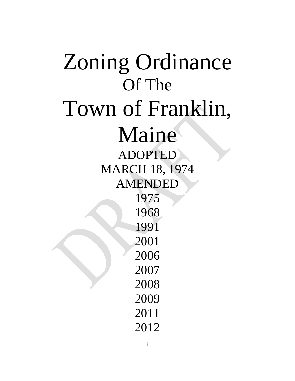Zoning Ordinance Of The Town of Franklin, Maine ADOPTED MARCH 18, 1974 AMENDED 1975 1968 1991 2001 2006 2007 2008 2009 2011 2012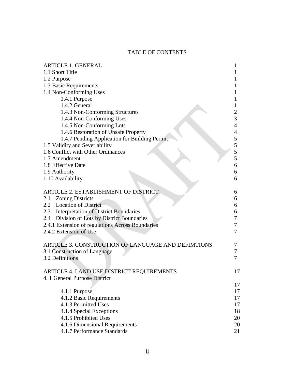# TABLE OF CONTENTS

| <b>ARTICLE 1. GENERAL</b>                                                                                                                                                                                                                                          | 1                               |
|--------------------------------------------------------------------------------------------------------------------------------------------------------------------------------------------------------------------------------------------------------------------|---------------------------------|
| 1.1 Short Title                                                                                                                                                                                                                                                    | 1                               |
| 1.2 Purpose                                                                                                                                                                                                                                                        | 1                               |
| 1.3 Basic Requirements                                                                                                                                                                                                                                             | 1                               |
| 1.4 Non-Conforming Uses                                                                                                                                                                                                                                            | 1                               |
| 1.4.1 Purpose                                                                                                                                                                                                                                                      | 1                               |
| 1.4.2 General                                                                                                                                                                                                                                                      | 1                               |
| 1.4.3 Non-Conforming Structures                                                                                                                                                                                                                                    | $\overline{c}$                  |
| 1.4.4 Non-Conforming Uses                                                                                                                                                                                                                                          | 3                               |
| 1.4.5 Non-Conforming Lots                                                                                                                                                                                                                                          | 4                               |
| 1.4.6 Restoration of Unsafe Property                                                                                                                                                                                                                               | 4                               |
| 1.4.7 Pending Application for Building Permit                                                                                                                                                                                                                      | 5                               |
| 1.5 Validity and Sever ability                                                                                                                                                                                                                                     | 5                               |
| 1.6 Conflict with Other Ordinances                                                                                                                                                                                                                                 | 5                               |
| 1.7 Amendment                                                                                                                                                                                                                                                      | 5                               |
| 1.8 Effective Date                                                                                                                                                                                                                                                 | 6                               |
| 1.9 Authority                                                                                                                                                                                                                                                      | 6                               |
| 1.10 Availability                                                                                                                                                                                                                                                  | 6                               |
| ARTICLE 2. ESTABLISHMENT OF DISTRICT<br>2.1 Zoning Districts<br>2.2 Location of District<br>2.3 Interpretation of District Boundaries<br>2.4 Division of Lots by District Boundaries<br>2.4.1 Extension of regulations Across Boundaries<br>2.4.2 Extension of Use | 6<br>6<br>6<br>6<br>7<br>7<br>7 |
| ARTICLE 3. CONSTRUCTION OF LANGUAGE AND DEFIMTIONS                                                                                                                                                                                                                 | 7                               |
| 3.1 Construction of Language                                                                                                                                                                                                                                       | 7                               |
| 3.2 Definitions                                                                                                                                                                                                                                                    | 7                               |
|                                                                                                                                                                                                                                                                    |                                 |
| ARTICLE 4. LAND USE DISTRICT REQUIREMENTS<br>4. 1 General Purpose District                                                                                                                                                                                         | 17                              |
|                                                                                                                                                                                                                                                                    | 17                              |
| 4.1.1 Purpose                                                                                                                                                                                                                                                      | 17                              |
| 4.1.2 Basic Requirements                                                                                                                                                                                                                                           | 17                              |
| 4.1.3 Permitted Uses                                                                                                                                                                                                                                               | 17                              |
| 4.1.4 Special Exceptions                                                                                                                                                                                                                                           | 18                              |
| 4.1.5 Prohibited Uses                                                                                                                                                                                                                                              | 20                              |
| 4.1.6 Dimensional Requirements                                                                                                                                                                                                                                     | 20                              |
| 4.1.7 Performance Standards                                                                                                                                                                                                                                        | 21                              |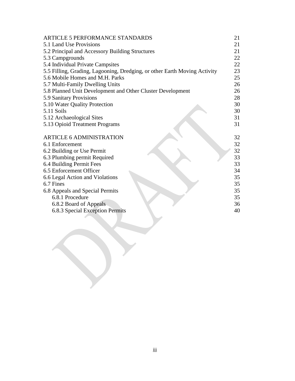| <b>ARTICLE 5 PERFORMANCE STANDARDS</b>                                    | 21 |
|---------------------------------------------------------------------------|----|
| 5.1 Land Use Provisions                                                   | 21 |
| 5.2 Principal and Accessory Building Structures                           | 21 |
| 5.3 Campgrounds                                                           | 22 |
| 5.4 Individual Private Campsites                                          | 22 |
| 5.5 Filling, Grading, Lagooning, Dredging, or other Earth Moving Activity | 23 |
| 5.6 Mobile Homes and M.H. Parks                                           | 25 |
| 5.7 Multi-Family Dwelling Units                                           | 26 |
| 5.8 Planned Unit Development and Other Cluster Development                | 26 |
| 5.9 Sanitary Provisions                                                   | 28 |
| 5.10 Water Quality Protection                                             | 30 |
| 5.11 Soils                                                                | 30 |
| 5.12 Archaeological Sites                                                 | 31 |
| 5.13 Opioid Treatment Programs                                            | 31 |
|                                                                           |    |
| <b>ARTICLE 6 ADMINISTRATION</b>                                           | 32 |
| 6.1 Enforcement                                                           | 32 |
| 6.2 Building or Use Permit                                                | 32 |
| 6.3 Plumbing permit Required                                              | 33 |
| 6.4 Building Permit Fees                                                  | 33 |
| 6.5 Enforcement Officer                                                   | 34 |
| 6.6 Legal Action and Violations                                           | 35 |
| 6.7 Fines                                                                 | 35 |
| 6.8 Appeals and Special Permits                                           | 35 |
| 6.8.1 Procedure                                                           | 35 |
| 6.8.2 Board of Appeals                                                    | 36 |
| 6.8.3 Special Exception Permits                                           | 40 |
|                                                                           |    |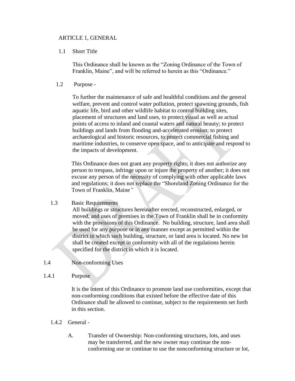#### ARTICLE 1, GENERAL

#### 1.1 Short Title

This Ordinance shall be known as the "Zoning Ordinance of the Town of Franklin, Maine", and will be referred to herein as this "Ordinance."

#### 1.2 Purpose -

To further the maintenance of safe and healthful conditions and the general welfare, prevent and control water pollution, protect spawning grounds, fish aquatic life, bird and other wildlife habitat to control building sites, placement of structures and land uses, to protect visual as well as actual points of access to inland and coastal waters and natural beauty; to protect buildings and lands from flooding and-accelerated erosion; to protect archaeological and historic resources, to protect commercial fishing and maritime industries, to conserve open space, and to anticipate and respond to the impacts of development.

This Ordinance does not grant any property rights; it does not authorize any person to trespass, infringe upon or injure the property of another; it does not excuse any person of the necessity of complying with other applicable laws and regulations; it does not replace the "Shoreland Zoning Ordinance for the Town of Franklin, Maine*"*

#### 1.3 Basic Requirements

All buildings or structures hereinafter erected, reconstructed, enlarged, or moved, and uses of premises in the Town of Franklin shall be in conformity with the provisions of this Ordinance. No building, structure, land area shall be used for any purpose or in any manner except as permitted within the district in which such building, structure, or land area is located. No new lot shall be created except in conformity with all of the regulations herein specified for the district in which it is located.

### 1.4 Non-conforming Uses

#### 1.4.1 Purpose

It is the intent of this Ordinance to promote land use conformities, except that non-conforming conditions that existed before the effective date of this Ordinance shall be allowed to continue, subject to the requirements set forth in this section.

- 1.4.2 General
	- A. Transfer of Ownership: Non-conforming structures, lots, and uses may be transferred, and the new owner may continue the nonconforming use or continue to use the nonconforming structure or lot,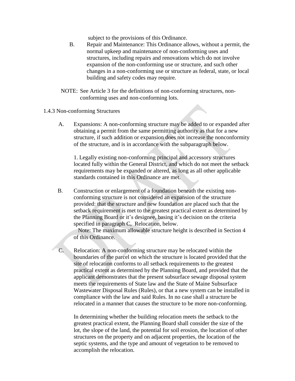subject to the provisions of this Ordinance.

- B. Repair and Maintenance: This Ordinance allows, without a permit, the normal upkeep and maintenance of non-conforming uses and structures, including repairs and renovations which do not involve expansion of the non-conforming use or structure, and such other changes in a non-conforming use or structure as federal, state, or local building and safety codes may require.
- NOTE: See Article 3 for the definitions of non-conforming structures, nonconforming uses and non-conforming lots.
- 1.4.3 Non-conforming Structures
	- A. Expansions: A non-conforming structure may be added to or expanded after obtaining a permit from the same permitting authority as that for a new structure, if such addition or expansion does not increase the nonconformity of the structure, and is in accordance with the subparagraph below.

1. Legally existing non-conforming principal and accessory structures located fully within the General District, and which do not meet the setback requirements may be expanded or altered, as long as all other applicable standards contained in this Ordinance are met.

B. Construction or enlargement of a foundation beneath the existing nonconforming structure is not considered an expansion of the structure provided: that the structure and new foundation are placed such that the setback requirement is met to the greatest practical extent as determined by the Planning Board or it's designee, basing it's decision on the criteria specified in paragraph C, Relocation, below.

Note: The maximum allowable structure height is described in Section 4 of this Ordinance*.*

C. Relocation: A non-conforming structure may be relocated within the boundaries of the parcel on which the structure is located provided that the site of relocation conforms to all setback requirements to the greatest practical extent as determined by the Planning Board, and provided that the applicant demonstrates that the present subsurface sewage disposal system meets the requirements of State law and the State of Maine Subsurface Wastewater Disposal Rules (Rules), or that a new system can be installed in compliance with the law and said Rules. In no case shall a structure be relocated in a manner that causes the structure to be more non-conforming.

In determining whether the building relocation meets the setback to the greatest practical extent, the Planning Board shall consider the size of the lot, the slope of the land, the potential for soil erosion, the location of other structures on the property and on adjacent properties, the location of the septic systems, and the type and amount of vegetation to be removed to accomplish the relocation.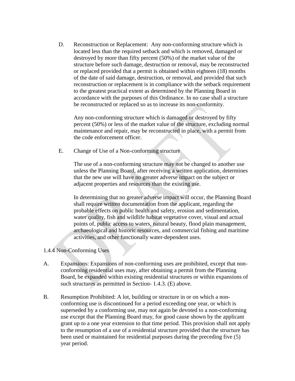D. Reconstruction or Replacement: Any non-conforming structure which is located less than the required setback and which is removed, damaged or destroyed by more than fifty percent (50%) of the market value of the structure before such damage, destruction or removal, may be reconstructed or replaced provided that a permit is obtained within eighteen (18) months of the date of said damage, destruction, or removal, and provided that such reconstruction or replacement is in compliance with the setback requirement to the greatest practical extent as determined by the Planning Board in accordance with the purposes of this Ordinance. In no case shall a structure be reconstructed or replaced so as to increase its non-conformity.

Any non-conforming structure which is damaged or destroyed by fifty percent (50%) or less of the market value of the structure, excluding normal maintenance and repair, may be reconstructed in place, with a permit from the code enforcement officer.

E. Change of Use of a Non-conforming structure

The use of a non-conforming structure may not be changed to another use unless the Planning Board, after receiving a written application, determines that the new use will have no greater adverse impact on the subject or adjacent properties and resources than the existing use.

In determining that no greater adverse impact will occur, the Planning Board shall require written documentation from the applicant, regarding the probable effects on public health and safety, erosion and sedimentation, water quality, fish and wildlife habitat vegetative cover, visual and actual points of, public access to waters, natural beauty, flood plain management, archaeological and historic resources, and commercial fishing and maritime activities, and other functionally water-dependent uses.

### 1.4.4 Non-Conforming Uses

- A. Expansions: Expansions of non-conforming uses are prohibited, except that nonconforming residential uses may, after obtaining a permit from the Planning Board, be expanded within existing residential structures or within expansions of such structures as permitted in Section- 1.4.3. (E) above.
- B. Resumption Prohibited: A lot, building or structure in or on which a nonconforming use is discontinued for a period exceeding one year, or which is superseded by a conforming use, may not again be devoted to a non-conforming use except that the Planning Board may, for good cause shown by the applicant grant up to a one year extension to that time period. This provision shall not apply to the resumption of a use of a residential structure provided that the structure has been used or maintained for residential purposes during the preceding five (5) year period.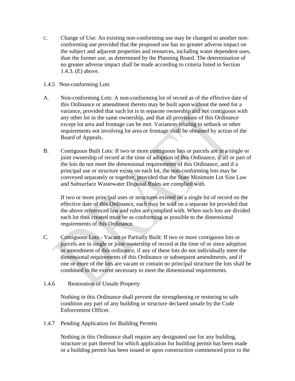C. Change of Use: An existing non-conforming use may be changed to another nonconforming use provided that the proposed use has no greater adverse impact on the subject and adjacent properties and resources, including water dependent uses, than the former use, as determined by the Planning Board. The determination of no greater adverse impact shall be made according to criteria listed in Section 1.4.3. (E) above.

### 1.4.5 Non-conforming Lots

- A. Non-conforming Lots: A non-conforming lot of record as of the effective date of this Ordinance or amendment thereto may be built upon without the need for a variance, provided that such lot is in separate ownership and not contiguous with any other lot in the same ownership, and that all provisions of this Ordinance except lot area and frontage can be met. Variances relating to setback or other requirements not involving lot area or frontage shall be obtained by action of the Board of Appeals.
- B. Contiguous Built Lots: If two or more contiguous lots or parcels are in a single or joint ownership of record at the time of adoption of this Ordinance, if all or part of the lots do not meet the dimensional requirements of this Ordinance, and if a principal use or structure exists on each lot, the non-conforming lots may be conveyed separately or together, provided that the State Minimum Lot Size Law and Subsurface Wastewater Disposal Rules are complied with.

If two or more principal uses or structures existed on a single lot of record on the effective date of this Ordinance, each may be sold on a separate lot provided that the above referenced law and rules are complied with. When such lots are divided each lot thus created must be as conforming as possible to the dimensional requirements of this Ordinance.

C. Contiguous Lots - Vacant or Partially Built: If two or more contiguous lots or parcels are in single or joint ownership of record at the time of or since adoption or amendment of this ordinance, if any of these lots do not individually meet the dimensional requirements of this Ordinance or subsequent amendments, and if one or more of the lots are vacant or contain no principal structure the lots shall be combined to the extent necessary to meet the dimensional requirements.

# 1.4.6 Restoration of Unsafe Property

Nothing in this Ordinance shall prevent the strengthening or restoring to safe condition any part of any building or structure declared unsafe by the Code Enforcement Officer.

1.4.7 Pending Application for Building Permits

Nothing in this Ordinance shall require any designated use for any building, structure or part thereof for which application for building permit has been made or a building permit has been issued or upon construction commenced prior to the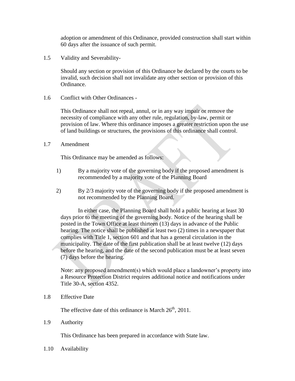adoption or amendment of this Ordinance, provided construction shall start within 60 days after the issuance of such permit.

1.5 Validity and Severability-

Should any section or provision of this Ordinance be declared by the courts to be invalid, such decision shall not invalidate any other section or provision of this Ordinance.

1.6 Conflict with Other Ordinances -

This Ordinance shall not repeal, annul, or in any way impair or remove the necessity of compliance with any other rule, regulation, by-law, permit or provision of law. Where this ordinance imposes a greater restriction upon the use of land buildings or structures, the provisions of this ordinance shall control.

1.7 Amendment

This Ordinance may be amended as follows:

- 1) By a majority vote of the governing body if the proposed amendment is recommended by a majority vote of the Planning Board
- 2) By 2/3 majority vote of the governing body if the proposed amendment is not recommended by the Planning Board.

In either case, the Planning Board shall hold a public hearing at least 30 days prior to the meeting of the governing body. Notice of the hearing shall be posted in the Town Office at least thirteen (13) days in advance of the Public hearing. The notice shall be published at least two (2) times in a newspaper that complies with Title 1, section 601 and that has a general circulation in the municipality. The date of the first publication shall be at least twelve (12) days before the hearing, and the date of the second publication must be at least seven (7) days before the hearing.

Note: any proposed amendment(s) which would place a landowner's property into a Resource Protection District requires additional notice and notifications under Title 30-A, section 4352.

1.8 Effective Date

The effective date of this ordinance is March  $26<sup>th</sup>$ , 2011.

1.9 Authority

This Ordinance has been prepared in accordance with State law.

1.10 Availability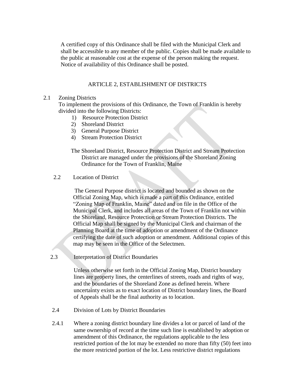A certified copy of this Ordinance shall be filed with the Municipal Clerk and shall be accessible to any member of the public. Copies shall be made available to the public at reasonable cost at the expense of the person making the request. Notice of availability of this Ordinance shall be posted.

### ARTICLE 2, ESTABLISHMENT OF DISTRICTS

#### 2.1 Zoning Districts

To implement the provisions of this Ordinance, the Town of Franklin is hereby divided into the following Districts:

- 1) Resource Protection District
- 2) Shoreland District
- 3) General Purpose District
- 4) Stream Protection District

The Shoreland District, Resource Protection District and Stream Protection District are managed under the provisions of the Shoreland Zoning Ordinance for the Town of Franklin, Maine

2.2 Location of District

The General Purpose district is located and bounded as shown on the Official Zoning Map, which is made a part of this Ordinance, entitled "Zoning Map of Franklin, Maine" dated and on file in the Office of the Municipal Clerk, and includes all areas of the Town of Franklin not within the Shoreland, Resource Protection or Stream Protection Districts. The Official Map shall be signed by the Municipal Clerk and chairman of the Planning Board at the time of adoption or amendment of the Ordinance certifying the date of such adoption or amendment. Additional copies of this map may be seen in the Office of the Selectmen.

2.3 Interpretation of District Boundaries

Unless otherwise set forth in the Official Zoning Map, District boundary lines are property lines, the centerlines of streets, roads and rights of way, and the boundaries of the Shoreland Zone as defined herein. Where uncertainty exists as to exact location of District boundary lines, the Board of Appeals shall be the final authority as to location.

- 2.4 Division of Lots by District Boundaries
- 2.4.1 Where a zoning district boundary line divides a lot or parcel of land of the same ownership of record at the time such line is established by adoption or amendment of this Ordinance, the regulations applicable to the less restricted portion of the lot may be extended no more than fifty (50) feet into the more restricted portion of the lot. Less restrictive district regulations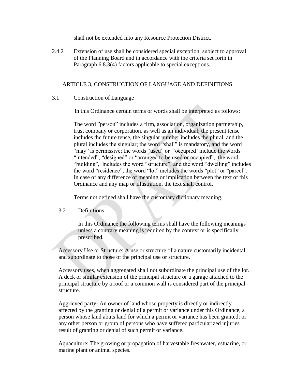shall not be extended into any Resource Protection District.

2.4.2 Extension of use shall be considered special exception, subject to approval of the Planning Board and in accordance with the criteria set forth in Paragraph 6.8.3(4) factors applicable to special exceptions.

## ARTICLE 3, CONSTRUCTION OF LANGUAGE AND DEFINITIONS

### 3.1 Construction of Language

In this Ordinance certain terms or words shall be interpreted as follows:

The word "person" includes a firm, association, organization partnership, trust company or corporation. as well as an individual; the present tense includes the future tense, the singular number includes the plural, and the plural includes the singular; the word "shall" is mandatory, and the word "may" is permissive; the words "used" or "occupied' include the words "intended", "designed" or "arranged to be used or occupied", the word "building", includes the word "structure", and the word "dwelling" includes the word "residence", the word "lot" includes the words "plot" or "parcel". In case of any difference of meaning or implication between the text of this Ordinance and any map or illustration, the text shall control.

Terms not defined shall have the customary dictionary meaning.

# 3.2 Definitions:

In this Ordinance the following terms shall have the following meanings unless a contrary meaning is required by the context or is specifically prescribed.

Accessory Use or Structure: A use or structure of a nature customarily incidental and subordinate to those of the principal use or structure.

Accessory uses, when aggregated shall not subordinate the principal use of the lot. A deck or similar extension of the principal structure or a garage attached to the principal structure by a roof or a common wall is considered part of the principal structure.

Aggrieved party- An owner of land whose property is directly or indirectly affected by the granting or denial of a permit or variance under this Ordinance, a person whose land abuts land for which a permit or variance has been granted; or any other person or group of persons who have suffered particularized injuries result of granting or denial of such permit or variance.

Aquaculture: The growing or propagation of harvestable freshwater, estuarine, or marine plant or animal species.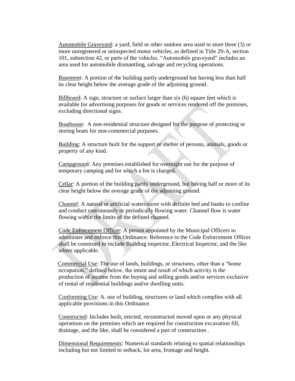Automobile Graveyard: a yard, field or other outdoor area used to store three (3) *or*  more unregistered or uninspected motor vehicles, as defined in Title 29-A, section 101, subsection 42, or parts of the vehicles. "Automobile graveyard" includes an area used for automobile dismantling, salvage and recycling operations.

Basement: A portion of the building partly underground but having less than half its clear height below the average grade of the adjoining ground.

Billboard: A sign, structure or surface larger than six (6) square feet which is available for advertising purposes for goods or services rendered off the premises, excluding directional signs.

Boathouse: A non-residential structure designed for the purpose of protecting or storing boats for non-commercial purposes.

Building: A structure built for the support or shelter of persons, animals, goods or property of any kind.

Campground: Any premises established for overnight use for the purpose of temporary camping and for which a fee is charged.

Cellar: A portion of the building partly underground, but having half or more of its clear height below the average grade of the adjoining ground.

Channel: A natural or artificial watercourse with definite bed and banks to confine and conduct continuously or periodically flowing water. Channel flow is water flowing within the limits of the defined channel.

Code Enforcement Officer: A person appointed by the Municipal Officers to administer and enforce this Ordinance. Reference to the Code Enforcement Officer shall be construed to include Building inspector, Electrical Inspector, and the like where applicable.

Commercial Use: The use of lands, buildings, or structures, other than a "home occupation," defined below, the intent and result of which activity is the production of income from the buying and selling goods and/or services exclusive of rental of residential buildings and/or dwelling units.

Conforming Use: A. use of building, structures or land which complies with all applicable provisions in this Ordinance.

Constructed: Includes built, erected, reconstructed moved upon or any physical operations on the premises which are required for construction excavation fill, drainage, and the like, shall be considered a part of construction .

Dimensional Requirements: Numerical standards relating to spatial relationships including but not limited to setback, lot area, frontage and height.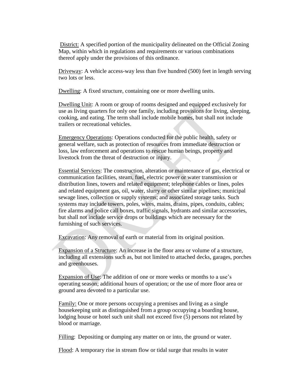District: A specified portion of the municipality delineated on the Official Zoning Map, within which in regulations and requirements or various combinations thereof apply under the provisions of this ordinance.

Driveway: A vehicle access-way less than five hundred (500) feet in length serving two lots or less.

Dwelling: A fixed structure, containing one or more dwelling units.

Dwelling Unit: A room or group of rooms designed and equipped exclusively for use as living quarters for only one family, including provisions for living, sleeping, cooking, and eating. The term shall include mobile homes, but shall not include trailers or recreational vehicles.

Emergency Operations: Operations conducted for the public health, safety or general welfare, such as protection of resources from immediate destruction or loss, law enforcement and operations to rescue human beings, property and livestock from the threat of destruction or injury.

Essential Services: The construction, alteration or maintenance of gas, electrical or communication facilities, steam, fuel, electric power or water transmission or distribution lines, towers and related equipment; telephone cables or lines, poles and related equipment gas, oil, water, slurry or other similar pipelines; municipal sewage lines, collection or supply systems; and associated storage tanks. Such systems may include towers, poles, wires, mains, drains, pipes, conduits, cables; fire alarms and police call boxes, traffic signals, hydrants and similar accessories, but shall not include service drops or buildings which are necessary for the furnishing of such services.

Excavation: Any removal of earth or material from its original position.

Expansion of a Structure: An increase in the floor area or volume of a structure, including all extensions such as, but not limited to attached decks, garages, porches and greenhouses.

Expansion of Use: The addition of one or more weeks or months to a use's operating season; additional hours of operation; or the use of more floor area or ground area devoted to a particular use.

Family: One or more persons occupying a premises and living as a single housekeeping unit as distinguished from a group occupying a boarding house, lodging house or hotel such unit shall not exceed five (5) persons not related by blood or marriage.

Filling: Depositing or dumping any matter on or into, the ground or water.

Flood: A temporary rise in stream flow or tidal surge that results in water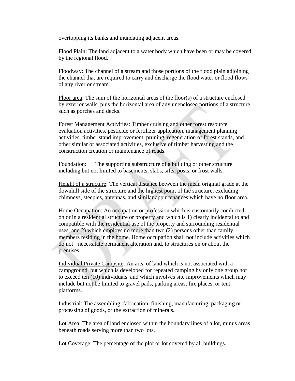overtopping its banks and inundating adjacent areas.

Flood Plain: The land adjacent to a water body which have been or may be covered by the regional flood.

Floodway: The channel of a stream and those portions of the flood plain adjoining the channel that are required to carry and discharge the flood water or flood flows of any river or stream.

Floor area: The sum of the horizontal areas of the floor(s) of a structure enclosed by exterior walls, plus the horizontal area of any unenclosed portions of a structure such as porches and decks.

Forest Management Activities: Timber cruising and other forest resource evaluation activities, pesticide or fertilizer application, management planning activities, timber stand improvement, pruning, regeneration of forest stands, and other similar or associated activities, exclusive of timber harvesting and the construction creation or maintenance of roads.

Foundation: The supporting substructure of a building or other structure including but not limited to basements, slabs, sifts, posts, or frost walls.

Height of a structure: The vertical distance between the mean original grade at the downhill side of the structure and the highest point of the structure, excluding chimneys, steeples, antennas, and similar appurtenances which have no floor area.

Home Occupation: An occupation or profession which is customarily conducted on or in a residential structure or property and which is 1) clearly incidental to and compatible with the residential use of the property and surrounding residential uses, and 2) which employs no more than two (2) persons other than family members residing in the home. Home occupation shall not include activities which do not necessitate permanent alteration and, to structures on or about the premises.

Individual Private Campsite: An area of land which is not associated with a campground, but which is developed for repeated camping by only one group not to exceed ten (10) individuals and which involves site improvements which may include but not be limited to gravel pads, parking areas, fire places, or tent platforms.

Industrial: The assembling, fabrication, finishing, manufacturing, packaging or processing of goods, or the extraction of minerals.

Lot Area: The area of land enclosed within the boundary lines of a lot, minus areas beneath roads serving more than two lots.

Lot Coverage: The percentage of the plot or lot covered by all buildings.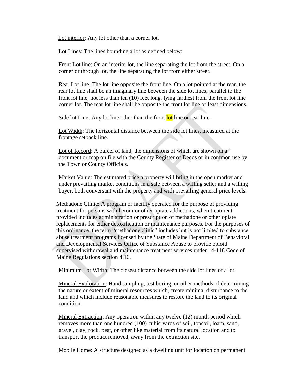Lot interior: Any lot other than a corner lot.

Lot Lines: The lines bounding a lot as defined below:

Front Lot line: On an interior lot, the line separating the lot from the street. On a corner or through lot, the line separating the lot from either street.

Rear Lot line: The lot line opposite the front line. On a lot pointed at the rear, the rear lot line shall be an imaginary line between the side lot lines, parallel to the front lot line, not less than ten (10) feet long, lying farthest from the front lot line corner lot. The rear lot line shall be opposite the front lot line of least dimensions.

Side lot Line: Any lot line other than the front lot line or rear line.

Lot Width: The horizontal distance between the side lot lines, measured at the frontage setback line.

Lot of Record: A parcel of land, the dimensions of which are shown on a document or map on file with the County Register of Deeds or in common use by the Town or County Officials.

Market Value: The estimated price a property will bring in the open market and under prevailing market conditions in a sale between a willing seller and a willing buyer, both conversant with the property and with prevailing general price levels.

Methadone Clinic: A program or facility operated for the purpose of providing treatment for persons with heroin or other opiate addictions, when treatment provided includes administration or prescription of methadone or other opiate replacements for either detoxification or maintenance purposes. For the purposes of this ordinance, the term "methadone clinic" includes but is not limited to substance abuse treatment programs licensed by the State of Maine Department of Behavioral and Developmental Services Office of Substance Abuse to provide opioid supervised withdrawal and maintenance treatment services under 14-118 Code of Maine Regulations section 4.16.

Minimum Lot Width: The closest distance between the side lot lines of a lot.

Mineral Exploration: Hand sampling, test boring, or other methods of determining the nature or extent of mineral resources which, create minimal disturbance to the land and which include reasonable measures to restore the land to its original condition.

Mineral Extraction: Any operation within any twelve (12) month period which removes more than one hundred (100) cubic yards of soil, topsoil, loam, sand, gravel, clay, rock, peat, or other like material from its natural location and to transport the product removed, away from the extraction site.

Mobile Home: A structure designed as a dwelling unit for location on permanent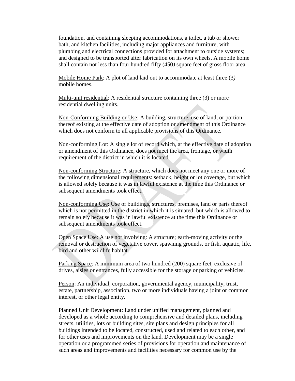foundation, and containing sleeping accommodations, a toilet, a tub or shower bath, and kitchen facilities, including major appliances and furniture, with plumbing and electrical connections provided for attachment to outside systems; and designed to be transported after fabrication on its own wheels. A mobile home shall contain not less than four hundred fifty (450*)* square feet of gross floor area.

Mobile Home Park: A plot of land laid out to accommodate at least three (3*)* mobile homes.

Multi-unit residential: A residential structure containing three (3) or more residential dwelling units.

Non-Conforming Building or Use: A building, structure, use of land, or portion thereof existing at the effective date of adoption or amendment of this Ordinance which does not conform to all applicable provisions of this Ordinance.

Non-conforming Lot: A single lot of record which, at the effective date of adoption or amendment of this Ordinance, does not meet the area, frontage, or width requirement of the district in which it is located.

Non-conforming Structure: A structure, which does not meet any one or more of the following dimensional requirements: setback, height or lot coverage, but which is allowed solely because it was in lawful existence at the time this Ordinance or subsequent amendments took effect.

Non-conforming Use: Use of buildings, structures, premises, land or parts thereof which is not permitted in the district in which it is situated, but which is allowed to remain solely because it was in lawful existence at the time this Ordinance or subsequent amendments took effect.

Open Space Use: A use not involving: A structure; earth-moving activity or the removal or destruction of vegetative cover, spawning grounds, or fish, aquatic, life, bird and other wildlife habitat.

Parking Space: A minimum area of two hundred (200) square feet, exclusive of drives, aisles or entrances, fully accessible for the storage or parking of vehicles.

Person: An individual, corporation, governmental agency, municipality, trust, estate, partnership, association, two or more individuals having a joint or common interest, or other legal entity.

Planned Unit Development: Land under unified management, planned and developed as a whole according to comprehensive and detailed plans, including streets, utilities, lots or building sites, site plans and design principles for all buildings intended to be located, constructed, used and related to each other, and for other uses and improvements on the land. Development may be a single operation or a programmed series of provisions for operation and maintenance of such areas and improvements and facilities necessary for common use by the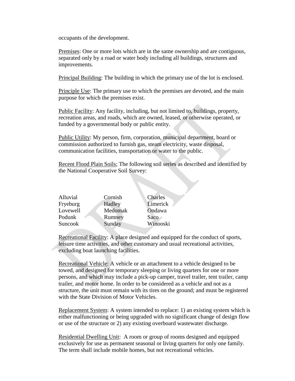occupants of the development.

Premises: One or more lots which are in the same ownership and are contiguous, separated only by a road or water body including all buildings, structures and improvements.

Principal Building: The building in which the primary use of the lot is enclosed.

Principle Use: The primary use to which the premises are devoted, and the main purpose for which the premises exist.

Public Facility: Any facility, including, but not limited to, buildings, property, recreation areas, and roads, which are owned, leased, or otherwise operated, or funded by a governmental body or public entity.

Public Utility: My person, firm, corporation, municipal department, board or commission authorized to furnish gas, steam electricity, waste disposal, communication facilities, transportation or water to the public.

Recent Flood Plain Soils; The following soil series as described and identified by the National Cooperative Soil Survey:

| Alluvial | Cornish | Charles  |
|----------|---------|----------|
| Fryeburg | Hadley  | Limerick |
| Lovewell | Medomak | Ondawa   |
| Podunk   | Rumney  | Saco     |
| Suncook  | Sunday  | Winooski |

Recreational Facility: A place designed and equipped for the conduct of sports, leisure time activities, and other customary and usual recreational activities, excluding boat launching facilities.

Recreational Vehicle: A vehicle or an attachment to a vehicle designed to be towed, and designed for temporary sleeping or living quarters for one or more persons, and which may include a pick-up camper, travel trailer, tent trailer, camp trailer, and motor home. In order to be considered as a vehicle and not as a structure, the unit must remain with its tires on the ground; and must be registered with the State Division of Motor Vehicles.

Replacement System: A system intended to replace: 1) an existing system which is either malfunctioning or being upgraded with no significant change of design flow or use of the structure or 2) any existing overboard wastewater discharge.

Residential Dwelling Unit: A room or group of rooms designed and equipped exclusively for use as permanent seasonal or living quarters for only one family. The term shall include mobile homes, but not recreational vehicles.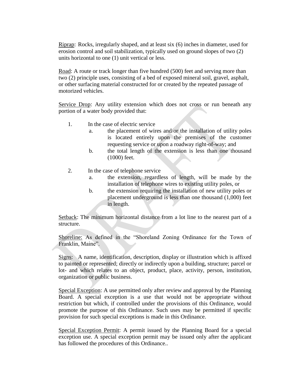Riprap: Rocks, irregularly shaped, and at least six (6) inches in diameter, used for erosion control and soil stabilization, typically used on ground slopes of two (2) units horizontal to one (1) unit vertical or less.

Road: A route or track longer than five hundred (500) feet and serving more than two (2) principle uses, consisting of a bed of exposed mineral soil, gravel, asphalt, or other surfacing material constructed for or created by the repeated passage of motorized vehicles.

Service Drop: Any utility extension which does not cross or run beneath any portion of a water body provided that:

- 1. In the case of electric service
	- a. the placement of wires and/or the installation of utility poles is located entirely upon the premises of the customer requesting service or upon a roadway right-of-way; and
	- b. the total length of the extension is less than one thousand (1000) feet.
- 2. In the case of telephone service
	- a. the extension, regardless of length, will be made by the installation of telephone wires to existing utility poles, or
	- b. the extension requiring the installation of new utility poles or placement underground is less than one thousand (1,000) feet in length.

Setback: The minimum horizontal distance from a lot line to the nearest part of a structure.

Shoreline: As defined in the "Shoreland Zoning Ordinance for the Town of Franklin, Maine".

Signs: A name, identification, description, display or illustration which is affixed to painted or represented; directly or indirectly upon a building, structure; parcel or lot- and which relates to an object, product, place, activity, person, institution, organization or public business.

Special Exception: A use permitted only after review and approval by the Planning Board. A special exception is a use that would not be appropriate without restriction but which, if controlled under the provisions of this Ordinance, would promote the purpose of this Ordinance. Such uses may be permitted if specific provision for such special exceptions is made in this Ordinance.

Special Exception Permit: A permit issued by the Planning Board for a special exception use. A special exception permit may be issued only after the applicant has followed the procedures of this Ordinance..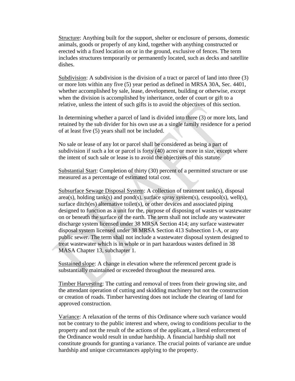Structure: Anything built for the support, shelter or enclosure of persons, domestic animals, goods or properly of any kind, together with anything constructed or erected with a fixed location on or in the ground, exclusive of fences. The term includes structures temporarily or permanently located, such as decks and satellite dishes.

Subdivision: A subdivision is the division of a tract or parcel of land into three (3) or more lots within any five (5) year period as defined in MRSA 30A, Sec. 4401, whether accomplished by sale, lease, development, building or otherwise, except when the division is accomplished by inheritance, order of court or gift to a relative, unless the intent of such gifts is to avoid the objectives of this section.

In determining whether a parcel of land is divided into three (3) or more lots, land retained by the sub divider for his own use as a single family residence for a period of at least five (5) years shall not be included.

No sale or lease of any lot or parcel shall be considered as being a part of subdivision if such a lot or parcel is forty (40) acres or more in size, except where the intent of such sale or lease is to avoid the objectives of this statute.

Substantial Start: Completion of thirty (30) percent of a permitted structure or use measured as a percentage of estimated total cost.

Subsurface Sewage Disposal System: A collection of treatment tank(s), disposal area(s), holding tank(s) and pond(s), surface spray system(s), cesspool(s), well(s), surface ditch(es) alternative toilet(s), or other devices and associated piping designed to function as a unit for the, purpose of disposing of wastes or wastewater on or beneath the surface of the earth. The term shall not include any wastewater discharge system licensed under 38 MRSA Section 414; any surface wastewater disposal system licensed under 38 MRSA Section 413 Subsection 1-A, or any public sewer. The term shall not include a wastewater disposal system designed to treat wastewater which is in whole or in part hazardous wastes defined in 38 MASA Chapter 13, subchapter 1.

Sustained slope: A change in elevation where the referenced percent grade is substantially maintained or exceeded throughout the measured area.

Timber Harvesting: The cutting and removal of trees from their growing site, and the attendant operation of cutting and skidding machinery but not the construction or creation of roads. Timber harvesting does not include the clearing of land for approved construction.

Variance: A relaxation of the terms of this Ordinance where such variance would not be contrary to the public interest and where, owing to conditions peculiar to the property and not the result of the actions of the applicant, a literal enforcement of the Ordinance would result in undue hardship. A financial hardship shall not constitute grounds for granting a variance. The crucial points of variance are undue hardship and unique circumstances applying to the property.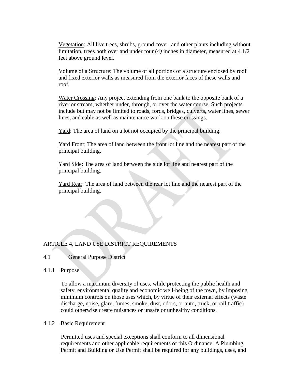Vegetation: All live trees, shrubs, ground cover, and other plants including without limitation, trees both over and under four (4*)* inches in diameter, measured at 4 1/2 feet above ground level.

Volume of a Structure: The volume of all portions of a structure enclosed by roof and fixed exterior walls as measured from the exterior faces of these walls and roof.

Water Crossing: Any project extending from one bank to the opposite bank of a river or stream, whether under, through, or over the water course. Such projects include but may not be limited to roads, fords, bridges, culverts, water lines, sewer lines, and cable as well as maintenance work on these crossings.

Yard: The area of land on a lot not occupied by the principal building.

Yard Front: The area of land between the front lot line and the nearest part of the principal building.

Yard Side: The area of land between the side lot line and nearest part of the principal building.

Yard Rear: The area of land between the rear lot line and the nearest part of the principal building.

### ARTICLE 4, LAND USE DISTRICT REQUIREMENTS

4.1 General Purpose District

4.1.1 Purpose

To allow a maximum diversity of uses, while protecting the public health and safety, environmental quality and economic well-being of the town, by imposing minimum controls on those uses which, by virtue of their external effects (waste discharge, noise, glare, fumes, smoke, dust, odors, or auto, truck, or rail traffic) could otherwise create nuisances or unsafe or unhealthy conditions.

#### 4.1.2 Basic Requirement

Permitted uses and special exceptions shall conform to all dimensional requirements and other applicable requirements of this Ordinance. A Plumbing Permit and Building or Use Permit shall be required for any buildings, uses, and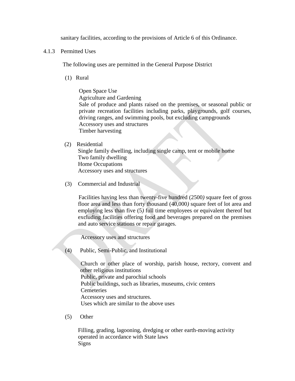sanitary facilities, according to the provisions of Article 6 of this Ordinance.

4.1.3 Permitted Uses

The following uses are permitted in the General Purpose District

(1) Rural

Open Space Use Agriculture and Gardening Sale of produce and plants raised on the premises, or seasonal public or private recreation facilities including parks, playgrounds, golf courses, driving ranges, and swimming pools, but excluding campgrounds Accessory uses and structures Timber harvesting

(2) Residential

Single family dwelling, including single camp, tent or mobile home Two family dwelling Home Occupations Accessory uses and structures

(3) Commercial and Industrial

Facilities having less than twenty-five hundred (2500*)* square feet of gross floor area and less than forty thousand (40,000*)* square feet of lot area and employing less than five (5*)* full time employees or equivalent thereof but excluding facilities offering food and beverages prepared on the premises and auto service stations or repair garages.

Accessory uses and structures

(4) Public, Semi-Public, and Institutional

Church or other place of worship, parish house, rectory, convent and other religious institutions Public, private and parochial schools Public buildings, such as libraries, museums, civic centers **Cemeteries** Accessory uses and structures. Uses which are similar to the above uses

(5) Other

Filling, grading, lagooning, dredging or other earth-moving activity operated in accordance with State laws Signs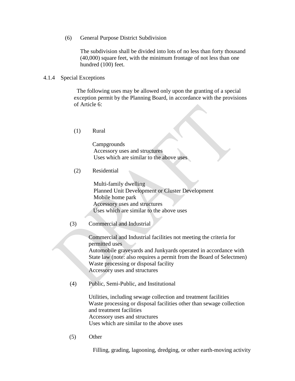(6) General Purpose District Subdivision

The subdivision shall be divided into lots of no less than forty thousand (40,000) square feet, with the minimum frontage of not less than one hundred (100) feet.

#### 4.1.4 Special Exceptions

The following uses may be allowed only upon the granting of a special exception permit by the Planning Board, in accordance with the provisions of Article 6:

(1) Rural

**Campgrounds** Accessory uses and structures Uses which are similar to the above uses

(2) Residential

Multi-family dwelling Planned Unit Development or Cluster Development Mobile home park Accessory uses and structures Uses which are similar to the above uses

(3) Commercial and Industrial

Commercial and Industrial facilities not meeting the criteria for permitted uses Automobile graveyards and Junkyards operated in accordance with State law (note: also requires a permit from the Board of Selectmen) Waste processing or disposal facility Accessory uses and structures

(4) Public, Semi-Public, and Institutional

Utilities, including sewage collection and treatment facilities Waste processing or disposal facilities other than sewage collection and treatment facilities Accessory uses and structures Uses which are similar to the above uses

(5) Other

Filling, grading, lagooning, dredging, or other earth-moving activity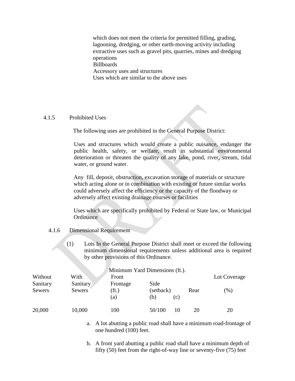which does not meet the criteria for permitted filling, grading, lagooning, dredging, or other earth-moving activity including extractive uses such as gravel pits, quarries, mines and dredging operations **Billboards** Accessory uses and structures Uses which are similar to the above uses

#### 4.1.5 Prohibited Uses

The following uses are prohibited in the General Purpose District:

Uses and structures which would create a public nuisance, endanger the public health, safety, or welfare, result in substantial environmental deterioration or threaten the quality of any lake, pond, river, stream, tidal water, or ground water.

Any fill, deposit, obstruction, excavation storage of materials or structure which acting alone or in combination with existing or future similar works could adversely affect the efficiency or the capacity of the floodway or adversely affect existing drainage courses or facilities

Uses which are specifically prohibited by Federal or State law, or Municipal **Ordinance** 

- 4.1.6 Dimensional Requirement
	- (1) Lots In the General Purpose District shall meet or exceed the following minimum dimensional requirements unless additional area is required by other provisions of this Ordinance.

|          |               |                   | Minimum Yard Dimensions (ft.). |      |              |
|----------|---------------|-------------------|--------------------------------|------|--------------|
| Without  | With          | Front             |                                |      | Lot Coverage |
| Sanitary | Sanitary      | Frontage          | Side                           |      |              |
| Sewers   | <b>Sewers</b> | (f <sub>t</sub> ) | (setback)                      | Rear | $(\%)$       |
|          |               | (a)               | (b)<br>(C)                     |      |              |
| 20,000   | 10,000        | 100               | 50/100<br>10                   | 20   | 20           |

- a. A lot abutting a public road shall have a minimum road-frontage of one hundred (100) feet.
- b. A front yard abutting a public road shall have a minimum depth of fifty (50) feet from the right-of-way line or seventy-five (75) feet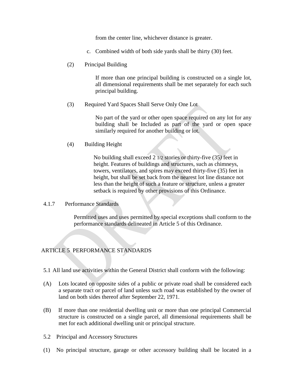from the center line, whichever distance is greater.

- c. Combined width of both side yards shall be thirty (30) feet.
- (2) Principal Building

If more than one principal building is constructed on a single lot, all dimensional requirements shall be met separately for each such principal building.

(3) Required Yard Spaces Shall Serve Only One Lot

No part of the yard or other open space required on any lot for any building shall be Included as part of the yard or open space similarly required for another building or lot.

(4) Building Height

No building shall exceed 2 1/2 stories or thirty-five (35*)* feet in height. Features of buildings and structures, such as chimneys, towers, ventilators, and spires may exceed thirty-five (35) feet in height, but shall be set back from the nearest lot line distance not less than the height of such a feature or structure, unless a greater setback is required by other provisions of this Ordinance.

### 4.1.7 Performance Standards

Permitted uses and uses permitted by special exceptions shall conform to the performance standards delineated in Article 5 of this Ordinance.

# ARTICLE 5 PERFORMANCE STANDARDS

- 5.1 All land use activities within the General District shall conform with the following:
- (A) Lots located on opposite sides of a public or private road shall be considered each a separate tract or parcel of land unless such road was established by the owner of land on both sides thereof after September 22, 1971.
- (B) If more than one residential dwelling unit or more than one principal Commercial structure is constructed on a single parcel, all dimensional requirements shall be met for each additional dwelling unit or principal structure.
- 5.2 Principal and Accessory Structures
- (1) No principal structure, garage or other accessory building shall be located in a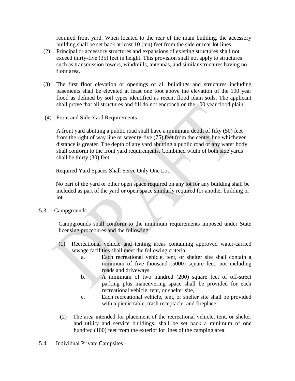required front yard. When located to the rear of the main building, the accessory building shall be set back at least 10 (ten) feet from the side or rear lot lines.

- (2) Principal or accessory structures and expansions of existing structures shall not exceed thirty-five (35) feet in height. This provision shall not apply to structures such as transmission towers, windmills, antennas, and similar structures having no floor area.
- (3) The first floor elevation or openings of all buildings and structures including basements shall be elevated at least one foot above the elevation of the 100 year flood as defined by soil types identified as recent flood plain soils. The applicant shall prove that all structures and fill do not encroach on the 100 year flood plain.
- (4) Front and Side Yard Requirements

A front yard abutting a public road shall have a minimum depth of fifty (50) feet from the right of way line or seventy-five (75) feet from the center line whichever distance is greater. The depth of any yard abutting a public road or any water body shall conform to the front yard requirements. Combined width of both side yards shall be thirty (30) feet.

Required Yard Spaces Shall Serve Only One Lot

No part of the yard or other open space required on any lot for any building shall be included as part of the yard or open space similarly required for another building or lot.

5.3 Campgrounds

Campgrounds shall conform to the minimum requirements imposed under State licensing procedures and the following:

- (1) Recreational vehicle and tenting areas containing approved water-carried sewage facilities shall meet the following criteria:
	- a. Each recreational vehicle, tent, or shelter site shall contain a minimum of five thousand (5000) square feet, not including roads and driveways.
	- b. A minimum of two hundred (200) square feet of off-street parking plus maneuvering space shall be provided for each recreational vehicle, tent, or shelter site,
	- c. Each recreational vehicle, tent, or shelter site shall be provided with a picnic table, trash receptacle, and fireplace.
- (2) The area intended for placement of the recreational vehicle, tent, or shelter and utility and service buildings, shall be set back a minimum of one hundred (100) feet from the exterior lot lines of the camping area.
- 5.4 Individual Private Campsites -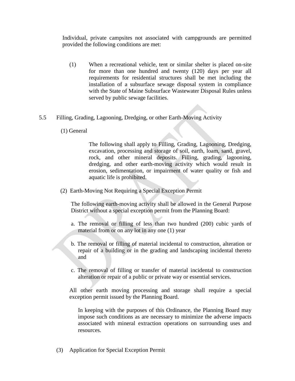Individual, private campsites not associated with campgrounds are permitted provided the following conditions are met:

- (1) When a recreational vehicle, tent or similar shelter is placed on-site for more than one hundred and twenty (120) days per year all requirements for residential structures shall be met including the installation of a subsurface sewage disposal system in compliance with the State of Maine Subsurface Wastewater Disposal Rules unless served by public sewage facilities.
- 5.5 Filling, Grading, Lagooning, Dredging, or other Earth-Moving Activity
	- (1) General

The following shall apply to Filling, Grading, Lagooning, Dredging, excavation, processing and storage of soil, earth, loam, sand, gravel, rock, and other mineral deposits. Filling, grading, lagooning, dredging, and other earth-moving activity which would result in erosion, sedimentation, or impairment of water quality or fish and aquatic life is prohibited.

(2) Earth-Moving Not Requiring a Special Exception Permit

The following earth-moving activity shall be allowed in the General Purpose District without a special exception permit from the Planning Board:

- a. The removal or filling of less than two hundred (200) cubic yards of material from or on any lot in any one (1) year
- b. The removal or filling of material incidental to construction, alteration or repair of a building or in the grading and landscaping incidental thereto and
- c. The removal of filling or transfer of material incidental to construction alteration or repair of a public or private way or essential services.

All other earth moving processing and storage shall require a special exception permit issued by the Planning Board.

In keeping with the purposes of this Ordinance, the Planning Board may impose such conditions as are necessary to minimize the adverse impacts associated with mineral extraction operations on surrounding uses and resources.

(3) Application for Special Exception Permit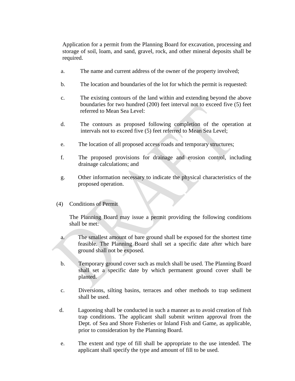Application for a permit from the Planning Board for excavation, processing and storage of soil, loam, and sand, gravel, rock, and other mineral deposits shall be required.

- a. The name and current address of the owner of the property involved;
- b. The location and boundaries of the lot for which the permit is requested:
- c. The existing contours of the land within and extending beyond the above boundaries for two hundred (200) feet interval not to exceed five (5) feet referred to Mean Sea Level:
- d. The contours as proposed following completion of the operation at intervals not to exceed five (5) feet referred to Mean Sea Level;
- e. The location of all proposed access roads and temporary structures;
- f. The proposed provisions for drainage and erosion control, including drainage calculations; and
- g. Other information necessary to indicate the physical characteristics of the proposed operation.
- (4) Conditions of Permit

The Planning Board may issue a permit providing the following conditions shall be met:

- a. The smallest amount of bare ground shall be exposed for the shortest time feasible. The Planning Board shall set a specific date after which bare ground shall not be exposed.
- b. Temporary ground cover such as mulch shall be used. The Planning Board shall set a specific date by which permanent ground cover shall be planted.
- c. Diversions, silting basins, terraces and other methods to trap sediment shall be used.
- d. Lagooning shall be conducted in such a manner as to avoid creation of fish trap conditions. The applicant shall submit written approval from the Dept. of Sea and Shore Fisheries or Inland Fish and Game, as applicable, prior to consideration by the Planning Board.
- e. The extent and type of fill shall be appropriate to the use intended. The applicant shall specify the type and amount of fill to be used.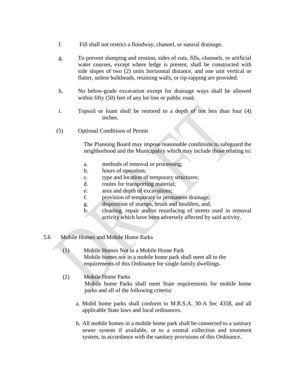- f. Fill shall not restrict a floodway, channel, or natural drainage.
- g. To prevent slumping and erosion, sides of cuts, fills, channels, or artificial water courses, except where ledge is present, shall be constructed with side slopes of two (2) units horizontal distance, and one unit vertical or flatter, unless bulkheads, retaining walls, or rip-rapping are provided.
- h. No below-grade excavation except for drainage ways shall be allowed within fifty (50) feet of any lot line or public road;
- i. Topsoil or loam shall be restored to a depth of not less than four (4) inches.
- (5) Optional Conditions of Permit

The Planning Board may impose reasonable conditions to safeguard the neighborhood and the Municipality which may include those relating to:

- a. methods of removal or processing;
- b. hours of operation;
- c. type and location of temporary structures:
- d. routes for transporting material;
- e. area and depth of excavations;
- f. provision of temporary or permanent drainage;
- g. disposition of stumps, brush and boulders, and,
- h. cleaning, repair and/or resurfacing of streets used in removal activity which have been adversely affected by said activity.
- 5.6 Mobile Homes and Mobile Home Parks
	- (1) Mobile Homes Not in a Mobile Home Park Mobile homes not in a mobile home park shall meet all to the requirements of this Ordinance for single family dwellings.
	- (2) Mobile Home Parks Mobile home Parks shall meet State requirements for mobile home parks and all of the following criteria:
		- a. Mobil home parks shall conform to M.R.S.A. 30-A Sec 4358, and all applicable State laws and local ordinances.
		- b. All mobile homes in a mobile home park shall be connected to a sanitary sewer system if available, or to a central collection and treatment system, in accordance with the sanitary provisions of this Ordinance.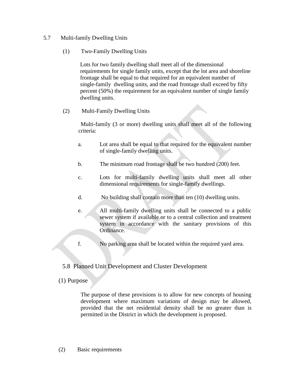## 5.7 Multi-family Dwelling Units

(1) Two-Family Dwelling Units

Lots for two family dwelling shall meet all of the dimensional requirements for single family units, except that the lot area and shoreline frontage shall be equal to that required for an equivalent number of single-family dwelling units, and the road frontage shall exceed by fifty percent (50%) the requirement for an equivalent number of single family dwelling units.

(2) Multi-Family Dwelling Units

Multi-family (3 or more) dwelling units shall meet all of the following criteria:

- a. Lot area shall be equal to that required for the equivalent number of single-family dwelling units.
- b. The minimum road frontage shall be two hundred (200) feet.
- c. Lots for multi-family dwelling units shall meet all other dimensional requirements for single-family dwellings.
- d. No building shall contain more than ten (10) dwelling units.
- e. All multi-family dwelling units shall be connected to a public sewer system if available or to a central collection and treatment system in accordance with the sanitary provisions of this Ordinance.
- f. No parking area shall be located within the required yard area.

# 5.8 Planned Unit Development and Cluster Development

# (1) Purpose

The purpose of these provisions is to allow for new concepts of housing development where maximum variations of design may be allowed, provided that the net residential density shall be no greater than is permitted in the District in which the development is proposed.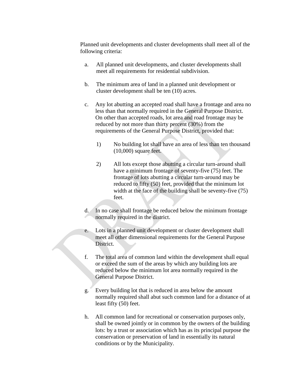Planned unit developments and cluster developments shall meet all of the following criteria:

- a. All planned unit developments, and cluster developments shall meet all requirements for residential subdivision.
- b. The minimum area of land in a planned unit development or cluster development shall be ten (10) acres.
- c. Any lot abutting an accepted road shall have a frontage and area no less than that normally required in the General Purpose District. On other than accepted roads, lot area and road frontage may be reduced by not more than thirty percent (30%) from the requirements of the General Purpose District, provided that:
	- 1) No building lot shall have an area of less than ten thousand (10,000) square feet.
	- 2) All lots except those abutting a circular turn-around shall have a minimum frontage of seventy-five (75) feet. The frontage of lots abutting a circular turn-around may be reduced to fifty (50) feet, provided that the minimum lot width at the face of the building shall be seventy-five (75) feet.
- d. In no case shall frontage be reduced below the minimum frontage normally required in the district.
- e. Lots in a planned unit development or cluster development shall meet all other dimensional requirements for the General Purpose District.
- f. The total area of common land within the development shall equal or exceed the sum of the areas by which any building lots are reduced below the minimum lot area normally required in the General Purpose District.
- g. Every building lot that is reduced in area below the amount normally required shall abut such common land for a distance of at least fifty (50) feet.
- h. All common land for recreational or conservation purposes only, shall be owned jointly or in common by the owners of the building lots: by a trust or association which has as its principal purpose the conservation or preservation of land in essentially its natural conditions or by the Municipality.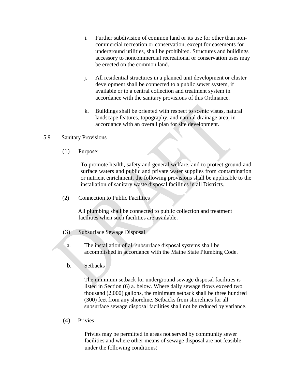- i. Further subdivision of common land or its use for other than noncommercial recreation or conservation, except for easements for underground utilities, shall be prohibited. Structures and buildings accessory to noncommercial recreational or conservation uses may be erected on the common land.
- j. All residential structures in a planned unit development or cluster development shall be connected to a public sewer system, if available or to a central collection and treatment system in accordance with the sanitary provisions of this Ordinance.
- k. Buildings shall be oriented with respect to scenic vistas, natural landscape features, topography, and natural drainage area, in accordance with an overall plan for site development.

### 5.9 Sanitary Provisions

(1) Purpose:

To promote health, safety and general welfare, and to protect ground and surface waters and public and private water supplies from contamination or nutrient enrichment, the following provisions shall be applicable to the installation of sanitary waste disposal facilities in all Districts.

(2) Connection to Public Facilities

All plumbing shall be connected to public collection and treatment facilities when such facilities are available.

- (3) Subsurface Sewage Disposal
	- a. The installation of all subsurface disposal systems shall be accomplished in accordance with the Maine State Plumbing Code.
	- b. Setbacks

The minimum setback for underground sewage disposal facilities is listed in Section (6) a. below. Where daily sewage flows exceed two thousand (2,000) gallons, the minimum setback shall be three hundred (300) feet from any shoreline. Setbacks from shorelines for all subsurface sewage disposal facilities shall not be reduced by variance.

(4) Privies

Privies may be permitted in areas not served by community sewer facilities and where other means of sewage disposal are not feasible under the following conditions: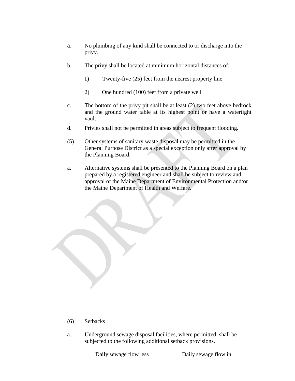- a. No plumbing of any kind shall be connected to or discharge into the privy.
- b. The privy shall be located at minimum horizontal distances of:
	- 1) Twenty-five (25) feet from the nearest property line
	- 2) One hundred (100) feet from a private well
- c. The bottom of the privy pit shall be at least (2) two feet above bedrock and the ground water table at its highest point or have a watertight vault.
- d. Privies shall not be permitted in areas subject to frequent flooding.
- (5) Other systems of sanitary waste disposal may be permitted in the General Purpose District as a special exception only after approval by the Planning Board.
- a. Alternative systems shall be presented to the Planning Board on a plan prepared by a registered engineer and shall be subject to review and approval of the Maine Department of Environmental Protection and/or the Maine Department of Health and Welfare.

- (6) Setbacks
- a. Underground sewage disposal facilities, where permitted, shall be subjected to the following additional setback provisions.

Daily sewage flow less Daily sewage flow in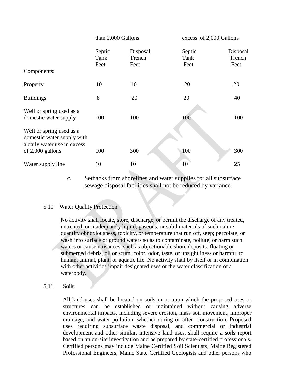|                                                                                       | than 2,000 Gallons     |                            | excess of 2,000 Gallons |                            |
|---------------------------------------------------------------------------------------|------------------------|----------------------------|-------------------------|----------------------------|
| Components:                                                                           | Septic<br>Tank<br>Feet | Disposal<br>Trench<br>Feet | Septic<br>Tank<br>Feet  | Disposal<br>Trench<br>Feet |
| Property                                                                              | 10                     | 10                         | 20                      | 20                         |
| <b>Buildings</b>                                                                      | 8                      | 20                         | 20                      | 40                         |
| Well or spring used as a<br>domestic water supply                                     | 100                    | 100                        | 100                     | 100                        |
| Well or spring used as a<br>domestic water supply with<br>a daily water use in excess |                        |                            |                         |                            |
| of 2,000 gallons                                                                      | 100                    | 300                        | 100                     | 300                        |
| Water supply line                                                                     | 10                     | 10                         | 10                      | 25                         |

c. Setbacks from shorelines and water supplies for all subsurface sewage disposal facilities shall not be reduced by variance.

#### 5.10 Water Quality Protection

No activity shall locate, store, discharge, or permit the discharge of any treated, untreated, or inadequately liquid, gaseous, or solid materials of such nature, quantity obnoxiousness, toxicity, or temperature that run off, seep; percolate, or wash into surface or ground waters so as to contaminate, pollute, or harm such waters or cause nuisances, such as objectionable shore deposits, floating or submerged debris, oil or scum, color, odor, taste, or unsightliness or harmful to human, animal, plant, or aquatic life. No activity shall by itself or in combination with other activities impair designated uses or the water classification of a waterbody.

5.11 Soils

All land uses shall be located on soils in or upon which the proposed uses or structures can be established or maintained without causing adverse environmental impacts, including severe erosion, mass soil movement, improper drainage, and water pollution, whether during or after construction. Proposed uses requiring subsurface waste disposal, and commercial or industrial development and other similar, intensive land uses, shall require a soils report based on an on-site investigation and be prepared by state-certified professionals. Certified persons may include Maine Certified Soil Scientists, Maine Registered Professional Engineers, Maine State Certified Geologists and other persons who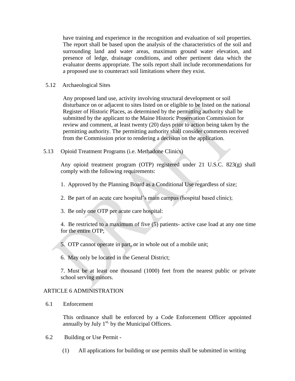have training and experience in the recognition and evaluation of soil properties. The report shall be based upon the analysis of the characteristics of the soil and surrounding land and water areas, maximum ground water elevation, and presence of ledge, drainage conditions, and other pertinent data which the evaluator deems appropriate. The soils report shall include recommendations for a proposed use to counteract soil limitations where they exist.

5.12 Archaeological Sites

Any proposed land use, activity involving structural development or soil disturbance on or adjacent to sites listed on or eligible to be listed on the national Register of Historic Places, as determined by the permitting authority shall be submitted by the applicant to the Maine Historic Preservation Commission for review and comment, at least twenty (20) days prior to action being taken by the permitting authority. The permitting authority shall consider comments received from the Commission prior to rendering a decision on the application.

5.13 Opioid Treatment Programs (i.e. Methadone Clinics)

Any opioid treatment program (OTP) registered under 21 U.S.C. 823(g) shall comply with the following requirements:

1. Approved by the Planning Board as a Conditional Use regardless of size;

- 2. Be part of an acute care hospital's main campus (hospital based clinic);
- 3. Be only one OTP per acute care hospital:

4. Be restricted to a maximum of five (5) patients- active case load at any one time for the entire OTP;

5. OTP cannot operate in part, or in whole out of a mobile unit;

6. May only be located in the General District;

7. Must be at least one thousand (1000) feet from the nearest public or private school serving minors.

# ARTICLE 6 ADMINISTRATION

6.1 Enforcement

This ordinance shall be enforced by a Code Enforcement Officer appointed annually by July  $1<sup>st</sup>$ , by the Municipal Officers.

- 6.2 Building or Use Permit
	- (1) All applications for building or use permits shall be submitted in writing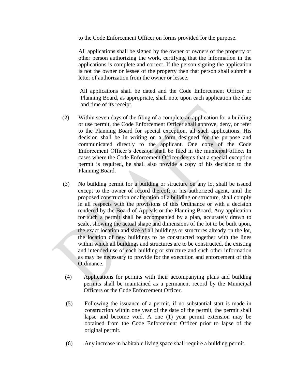to the Code Enforcement Officer on forms provided for the purpose.

All applications shall be signed by the owner or owners of the property or other person authorizing the work, certifying that the information in the applications is complete and correct. If the person signing the application is not the owner or lessee of the property then that person shall submit a letter of authorization from the owner or lessee.

All applications shall be dated and the Code Enforcement Officer or Planning Board, as appropriate, shall note upon each application the date and time of its receipt.

- (2) Within seven days of the filing of a complete an application for a building or use permit, the Code Enforcement Officer shall approve, deny, or refer to the Planning Board for special exception, all such applications. His decision shall be in writing on a form designed for the purpose and communicated directly to the applicant. One copy of the Code Enforcement Officer's decision shall be filed in the municipal office. In cases where the Code Enforcement Officer deems that a special exception permit is required, he shall also provide a copy of his decision to the Planning Board.
- (3) No building permit for a building or structure on any lot shall be issued except to the owner of record thereof; or his authorized agent, until the proposed construction or alteration of a building or structure, shall comply in all respects with the provisions of this Ordinance or with a decision rendered by the Board of Appeals or the Planning Board. Any application for such a permit shall be accompanied by a plan, accurately drawn to scale, showing the actual shape and dimensions of the lot to be built upon, the exact location and size of all buildings or structures already on the lot, the location of new buildings to be constructed together with the lines within which all buildings and structures are to be constructed, the existing and intended use of each building or structure and such other information as may be necessary to provide for the execution and enforcement of this Ordinance.
- (4) Applications for permits with their accompanying plans and building permits shall be maintained as a permanent record by the Municipal Officers or the Code Enforcement Officer.
- (5) Following the issuance of a permit, if no substantial start is made in construction within one year of the date of the permit, the permit shall lapse and become void. A one (1) year permit extension may be obtained from the Code Enforcement Officer prior to lapse of the original permit.
- (6) Any increase in habitable living space shall require a building permit.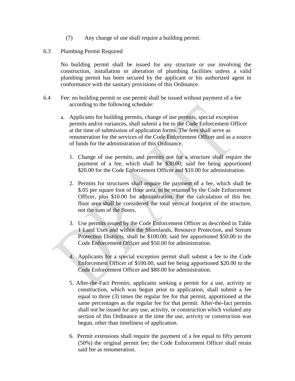- (7) Any change of use shall require a building permit.
- 6.3 Plumbing Permit Required

No building permit shall be issued for any structure or use involving the construction, installation or alteration of plumbing facilities unless a valid plumbing permit has been secured by the applicant or his authorized agent in conformance with the sanitary provisions of this Ordinance.

- 6.4 Fee: no building permit or use permit shall be issued without payment of a fee according to the following schedule:
	- a. Applicants for building permits, change of use permits, special exception permits and/or variances, shall submit a fee to the Code Enforcement Officer at the time of submission of application forms. The fees shall serve as renumeration for the services of the Code Enforcement Officer and as a source of funds for the administration of this Ordinance.
		- 1. Change of use permits, and permits not for a structure shall require the payment of a fee, which shall be \$30.00; said fee being apportioned \$20.00 for the Code Enforcement Officer and \$10.00 for administration.
		- 2. Permits for structures shall require the payment of a fee, which shall be \$.05 per square foot of floor area, to be retained by the Code Enforcement Officer, plus \$10.00 for administration. For the calculation of this fee, floor area shall be considered the total vertical footprint of the structure, not the sum of the floors.
		- 3. Use permits issued by the Code Enforcement Officer as described in Table 1 Land Uses and within the Shorelands, Resource Protection, and Stream Protection Districts, shall be \$100.00; said fee apportioned \$50.00 to the Code Enforcement Officer and \$50.00 for administration.
		- 4. Applicants for a special exception permit shall submit a fee to the Code Enforcement Officer of \$100.00, said fee being apportioned \$20.00 to the Code Enforcement Officer and \$80.00 for administration.
		- 5. After-the-Fact Permits; applicants seeking a permit for a use, activity or construction, which was begun prior to application, shall submit a fee equal to three (3) times the regular fee for that permit, apportioned at the same percentages as the regular fee for that permit. After-the-fact permits shall not be issued for any use, activity, or construction which violated any section of this Ordinance at the time the use, activity or construction was begun, other than timeliness of application.
		- 6. Permit extensions shall require the payment of a fee equal to fifty percent (50%) the original permit fee; the Code Enforcement Officer shall retain said fee as renumeration.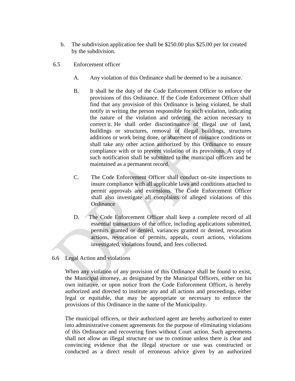- b. The subdivision application fee shall be \$250.00 plus \$25.00 per lot created by the subdivision.
- 6.5 Enforcement officer
	- A. Any violation of this Ordinance shall be deemed to be a nuisance.
	- B. It shall be the duty of the Code Enforcement Officer to enforce the provisions of this Ordinance. If the Code Enforcement Officer shall find that any provision of this Ordinance is being violated, he shall notify in writing the person responsible for such violation, indicating the nature of the violation and ordering the action necessary to correct it. He shall order discontinuance of illegal use of land, buildings or structures, removal of illegal buildings, structures additions or work being done, or abatement of nuisance conditions or shall take any other action authorized by this Ordinance to ensure compliance with or to prevent violation of its provisions. A copy of such notification shall be submitted to the municipal officers and be maintained as a permanent record.
	- C. The Code Enforcement Officer shall conduct on-site inspections to insure compliance with all applicable laws and conditions attached to permit approvals and extensions. The Code Enforcement Officer shall also investigate all complaints of alleged violations of this **Ordinance**
	- D. The Code Enforcement Officer shall keep a complete record of all essential transactions of the office, including applications submitted, permits granted or denied, variances granted or denied, revocation actions, revocation of permits, appeals, court actions, violations investigated, violations found, and fees collected.
- 6.6 Legal Action and violations

When any violation of any provision of this Ordinance shall be found to exist, the Municipal attorney, as designated by the Municipal Officers, either on his own initiative, or upon notice from the Code Enforcement Officer, is hereby authorized and directed to institute any and all actions and proceedings, either legal or equitable, that may be appropriate or necessary to enforce the provisions of this Ordinance in the name of the Municipality.

The municipal officers, or their authorized agent are hereby authorized to enter into administrative consent agreements for the purpose of eliminating violations of this Ordinance and recovering fines without Court action. Such agreements shall not allow an illegal structure or use to continue unless there is clear and convincing evidence that the illegal structure or use was constructed or conducted as a direct result of erroneous advice given by an authorized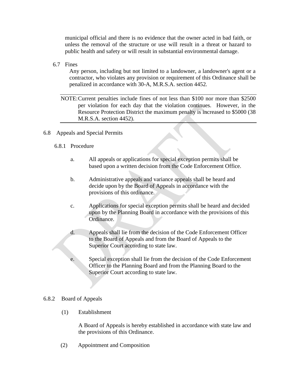municipal official and there is no evidence that the owner acted in bad faith, or unless the removal of the structure or use will result in a threat or hazard to public health and safety or will result in substantial environmental damage.

6.7 Fines

Any person, including but not limited to a landowner, a landowner's agent or a contractor, who violates any provision or requirement of this Ordinance shall be penalized in accordance with 30-A, M.R.S.A. section 4452*.* 

NOTE:Current penalties include fines of not less than \$100 nor more than \$2500 per violation for each day that the violation continues. However, in the Resource Protection District the maximum penalty is increased to \$5000 (38 M.R.S.A. section 4452).

6.8 Appeals and Special Permits

## 6.8.1 Procedure

- a. All appeals or applications for special exception permits shall be based upon a written decision from the Code Enforcement Office.
- b. Administrative appeals and variance appeals shall be heard and decide upon by the Board of Appeals in accordance with the provisions of this ordinance.
- c. Applications for special exception permits shall be heard and decided upon by the Planning Board in accordance with the provisions of this Ordinance.
- d. Appeals shall lie from the decision of the Code Enforcement Officer to the Board of Appeals and from the Board of Appeals to the Superior Court according to state law.
- e. Special exception shall lie from the decision of the Code Enforcement Officer to the Planning Board and from the Planning Board to the Superior Court according to state law.

### 6.8.2 Board of Appeals

(1) Establishment

A Board of Appeals is hereby established in accordance with state law and the provisions of this Ordinance.

(2) Appointment and Composition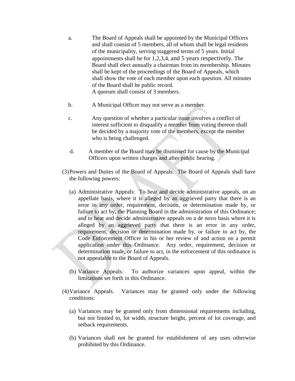- a. The Board of Appeals shall be appointed by the Municipal Officers and shall consist of 5 members, all of whom shall be legal residents of the municipality, serving staggered terms of 5 years. Initial appointments shall be for 1,2,3,4, and 5 years respectively. The Board shall elect annually a chairman from its membership. Minutes shall be kept of the proceedings of the Board of Appeals, which shall show the vote of each member upon each question. All minutes of the Board shall be public record. A quorum shall consist of 3 members.
- b. A Municipal Officer may not serve as a member.
- c. Any question of whether a particular issue involves a conflict of interest sufficient to disqualify a member from voting thereon shall be decided by a majority vote of the members, except the member who is being challenged.
- d. A member of the Board may be dismissed for cause by the Municipal Officers upon written charges and after public hearing.
- (3)Powers and Duties of the Board of Appeals. The Board of Appeals shall have the following powers:
	- (a) Administrative Appeals: To hear and decide administrative appeals, on an appellate basis, where it is alleged by an aggrieved party that there is an error in any order, requirement, decision, or determination made by, or failure to act by, the Planning Board in the administration of this Ordinance; and to hear and decide administrative appeals on a de novo basis where it is alleged by an aggrieved party that there is an error in any order, requirement, decision or determination made by, or failure to act by, the Code Enforcement Officer in his or her review of and action on a permit application under this Ordinance. Any order, requirement, decision or determination made, or failure to act, in the enforcement of this ordinance is not appealable to the Board of Appeals.
	- (b) Variance Appeals: To authorize variances upon appeal, within the limitations set forth in this Ordinance.
- (4)Variance Appeals. Variances may be granted only under the following conditions:
	- (a) Variances may be granted only from dimensional requirements including, but not limited to, lot width, structure height, percent of lot coverage, and setback requirements.
	- (b) Variances shall not be granted for establishment of any uses otherwise prohibited by this Ordinance.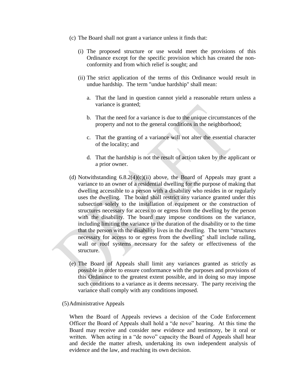- (c) The Board shall not grant a variance unless it finds that:
	- (i) The proposed structure or use would meet the provisions of this Ordinance except for the specific provision which has created the nonconformity and from which relief is sought; and
	- (ii) The strict application of the terms of this Ordinance would result in undue hardship. The term "undue hardship" shall mean:
		- a. That the land in question cannot yield a reasonable return unless a variance is granted;
		- b. That the need for a variance is due to the unique circumstances of the property and not to the general conditions in the neighborhood;
		- c. That the granting of a variance will not alter the essential character of the locality; and
		- d. That the hardship is not the result of action taken by the applicant or a prior owner.
- (d) Notwithstanding  $6.8.2(4)(c)(ii)$  above, the Board of Appeals may grant a variance to an owner of a residential dwelling for the purpose of making that dwelling accessible to a person with a disability who resides in or regularly uses the dwelling. The board shall restrict any variance granted under this subsection solely to the installation of equipment or the construction of structures necessary for access to or egress from the dwelling by the person with the disability. The board may impose conditions on the variance, including limiting the variance to the duration of the disability or to the time that the person with the disability lives in the dwelling. The term "structures necessary for access to or egress from the dwelling" shall include railing, wall or roof systems necessary for the safety or effectiveness of the structure.
- (e) The Board of Appeals shall limit any variances granted as strictly as possible in order to ensure conformance with the purposes and provisions of this Ordinance to the greatest extent possible, and in doing so may impose such conditions to a variance as it deems necessary. The party receiving the variance shall comply with any conditions imposed.

#### (5)Administrative Appeals

When the Board of Appeals reviews a decision of the Code Enforcement Officer the Board of Appeals shall hold a "de novo" hearing. At this time the Board may receive and consider new evidence and testimony, be it oral or written. When acting in a "de novo" capacity the Board of Appeals shall hear and decide the matter afresh, undertaking its own independent analysis of evidence and the law, and reaching its own decision.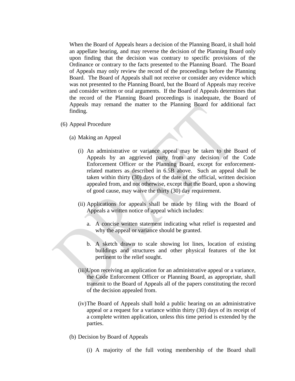When the Board of Appeals hears a decision of the Planning Board, it shall hold an appellate hearing, and may reverse the decision of the Planning Board only upon finding that the decision was contrary to specific provisions of the Ordinance or contrary to the facts presented to the Planning Board. The Board of Appeals may only review the record of the proceedings before the Planning Board. The Board of Appeals shall not receive or consider any evidence which was not presented to the Planning Board, but the Board of Appeals may receive and consider written or oral arguments. If the Board of Appeals determines that the record of the Planning Board proceedings is inadequate, the Board of Appeals may remand the matter to the Planning Board for additional fact finding.

- (6) Appeal Procedure
	- (a) Making an Appeal
		- (i) An administrative or variance appeal may be taken to the Board of Appeals by an aggrieved party from any decision of the Code Enforcement Officer or the Planning Board, except for enforcementrelated matters as described in 6.5B above. Such an appeal shall be taken within thirty (30) days of the date of the official, written decision appealed from, and not otherwise, except that the Board, upon a showing of good cause, may waive the thirty (30) day requirement.
		- (ii) Applications for appeals shall be made by filing with the Board of Appeals a written notice of appeal which includes:
			- a. A concise written statement indicating what relief is requested and why the appeal or variance should be granted.
			- b. A sketch drawn to scale showing lot lines, location of existing buildings and structures and other physical features of the lot pertinent to the relief sought.
		- (iii)Upon receiving an application for an administrative appeal or a variance, the Code Enforcement Officer or Planning Board, as appropriate, shall transmit to the Board of Appeals all of the papers constituting the record of the decision appealed from.
		- (iv)The Board of Appeals shall hold a public hearing on an administrative appeal or a request for a variance within thirty (30) days of its receipt of a complete written application, unless this time period is extended by the parties.
	- (b) Decision by Board of Appeals
		- (i) A majority of the full voting membership of the Board shall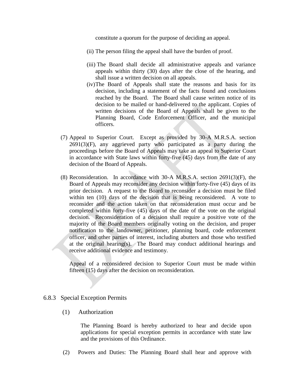constitute a quorum for the purpose of deciding an appeal.

- (ii) The person filing the appeal shall have the burden of proof.
- (iii) The Board shall decide all administrative appeals and variance appeals within thirty (30) days after the close of the hearing, and shall issue a written decision on all appeals.
- (iv)The Board of Appeals shall state the reasons and basis for its decision, including a statement of the facts found and conclusions reached by the Board. The Board shall cause written notice of its decision to be mailed or hand-delivered to the applicant. Copies of written decisions of the Board of Appeals shall be given to the Planning Board, Code Enforcement Officer, and the municipal officers.
- (7) Appeal to Superior Court. Except as provided by 30-A M.R.S.A. section  $2691(3)(F)$ , any aggrieved party who participated as a party during the proceedings before the Board of Appeals may take an appeal to Superior Court in accordance with State laws within forty-five (45) days from the date of any decision of the Board of Appeals.
- (8) Reconsideration. In accordance with 30-A M.R.S.A. section 2691(3)(F), the Board of Appeals may reconsider any decision within forty-five (45) days of its prior decision. A request to the Board to reconsider a decision must be filed within ten (10) days of the decision that is being reconsidered. A vote to reconsider and the action taken on that reconsideration must occur and be completed within forty-five (45) days of the date of the vote on the original decision. Reconsideration of a decision shall require a positive vote of the majority of the Board members originally voting on the decision, and proper notification to the landowner, petitioner, planning board, code enforcement officer, and other parties of interest, including abutters and those who testified at the original hearing(s). The Board may conduct additional hearings and receive additional evidence and testimony.

Appeal of a reconsidered decision to Superior Court must be made within fifteen (15) days after the decision on reconsideration.

#### 6.8.3 Special Exception Permits

(1) Authorization

The Planning Board is hereby authorized to hear and decide upon applications for special exception permits in accordance with state law and the provisions of this Ordinance.

(2) Powers and Duties: The Planning Board shall hear and approve with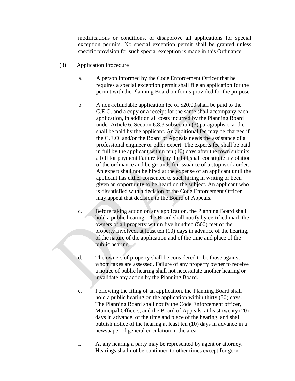modifications or conditions, or disapprove all applications for special exception permits. No special exception permit shall be granted unless specific provision for such special exception is made in this Ordinance.

- (3) Application Procedure
	- a. A person informed by the Code Enforcement Officer that he requires a special exception permit shall file an application for the permit with the Planning Board on forms provided for the purpose.
	- b. A non-refundable application fee of \$20.00 shall be paid to the C.E.O. and a copy or a receipt for the same shall accompany each application, in addition all costs incurred by the Planning Board under Article 6, Section 6.8.3 subsection (3) paragraphs c. and e. shall be paid by the applicant. An additional fee may be charged if the C.E.O. and/or the Board of Appeals needs the assistance of a professional engineer or other expert. The experts fee shall be paid in full by the applicant within ten (10) days after the town submits a bill for payment Failure to pay the bill shall constitute a violation of the ordinance and be grounds for issuance of a stop work order. An expert shall not be hired at the expense of an applicant until the applicant has either consented to such hiring in writing or been given an opportunity to be heard on the subject. An applicant who is dissatisfied with a decision of the Code Enforcement Officer may appeal that decision to the Board of Appeals.
	- c. Before taking action on any application, the Planning Board shall hold a public hearing. The Board shall notify by certified mail, the owners of all property within five hundred (500) feet of the property involved, at least ten (10) days in advance of the hearing, of the nature of the application and of the time and place of the public hearing.
	- d. The owners of property shall be considered to be those against whom taxes are assessed. Failure of any property owner to receive a notice of public hearing shall not necessitate another hearing or invalidate any action by the Planning Board.
	- e. Following the filing of an application, the Planning Board shall hold a public hearing on the application within thirty (30) days. The Planning Board shall notify the Code Enforcement officer, Municipal Officers, and the Board of Appeals, at least twenty (20) days in advance, of the time and place of the hearing, and shall publish notice of the hearing at least ten (10) days in advance in a newspaper of general circulation in the area.
	- f. At any hearing a party may be represented by agent or attorney. Hearings shall not be continued to other times except for good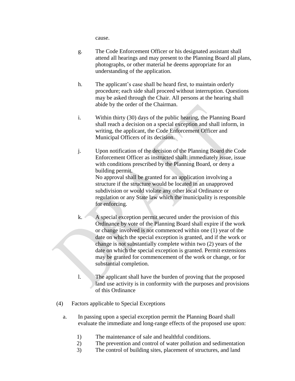cause.

- g. The Code Enforcement Officer or his designated assistant shall attend all hearings and may present to the Planning Board all plans, photographs, or other material he deems appropriate for an understanding of the application.
- h. The applicant's case shall be heard first, to maintain orderly procedure; each side shall proceed without interruption. Questions may be asked through the Chair. All persons at the hearing shall abide by the order of the Chairman.
- i. Within thirty (30) days of the public hearing, the Planning Board shall reach a decision on a special exception and shall inform, in writing, the applicant, the Code Enforcement Officer and Municipal Officers of its decision.
- j. Upon notification of the decision of the Planning Board the Code Enforcement Officer as instructed shall: immediately issue, issue with conditions prescribed by the Planning Board, or deny a building permit. No approval shall be granted for an application involving a structure if the structure would be located in an unapproved subdivision or would violate any other local Ordinance or regulation or any State law which the municipality is responsible for enforcing.
- k. A special exception permit secured under the provision of this Ordinance by vote of the Planning Board shall expire if the work or change involved is not commenced within one (1) year of the date on which the special exception is granted, and if the work or change is not substantially complete within two (2) years of the date on which the special exception is granted. Permit extensions may be granted for commencement of the work or change, or for substantial completion.
- l. The applicant shall have the burden of proving that the proposed land use activity is in conformity with the purposes and provisions of this Ordinance
- (4) Factors applicable to Special Exceptions
	- a. In passing upon a special exception permit the Planning Board shall evaluate the immediate and long-range effects of the proposed use upon:
		- 1) The maintenance of sale and healthful conditions.
		- 2) The prevention and control of water pollution and sedimentation
		- 3) The control of building sites, placement of structures, and land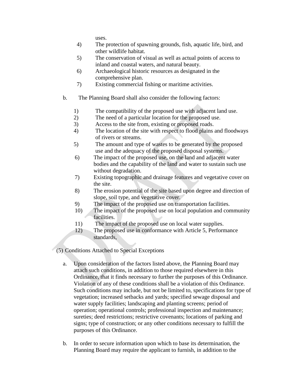uses.

- 4) The protection of spawning grounds, fish, aquatic life, bird, and other wildlife habitat.
- 5) The conservation of visual as well as actual points of access to inland and coastal waters, and natural beauty.
- 6) Archaeological historic resources as designated in the comprehensive plan.
- 7) Existing commercial fishing or maritime activities.
- b. The Planning Board shall also consider the following factors:
	- 1) The compatibility of the proposed use with adjacent land use.
	- 2) The need of a particular location for the proposed use.
	- 3) Access to the site from, existing or proposed roads.
	- 4) The location of the site with respect to flood plains and floodways of rivers or streams.
	- 5) The amount and type of wastes to be generated by the proposed use and the adequacy of the proposed disposal systems.
	- 6) The impact of the proposed use, on the land and adjacent water bodies and the capability of the land and water to sustain such use without degradation.
	- 7) Existing topographic and drainage features and vegetative cover on the site.
	- 8) The erosion potential of the site based upon degree and direction of slope, soil type, and vegetative cover.
	- 9) The impact of the proposed use on transportation facilities.
	- 10) The impact of the proposed use on local population and community facilities.
	- 11) The impact of the proposed use on local water supplies.
	- 12) The proposed use in conformance with Article 5, Performance standards,

(5) Conditions Attached to Special Exceptions

- a. Upon consideration of the factors listed above, the Planning Board may attach such conditions, in addition to those required elsewhere in this Ordinance, that it finds necessary to further the purposes of this Ordinance. Violation of any of these conditions shall be a violation of this Ordinance. Such conditions may include, but not be limited to, specifications for type of vegetation; increased setbacks and yards; specified sewage disposal and water supply facilities; landscaping and planting screens; period of operation; operational controls; professional inspection and maintenance; sureties; deed restrictions; restrictive covenants; locations of parking and signs; type of construction; or any other conditions necessary to fulfill the purposes of this Ordinance.
- b. In order to secure information upon which to base its determination, the Planning Board may require the applicant to furnish, in addition to the